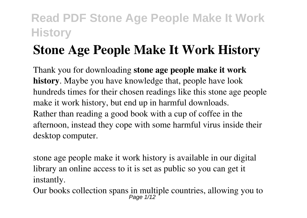# **Stone Age People Make It Work History**

Thank you for downloading **stone age people make it work history**. Maybe you have knowledge that, people have look hundreds times for their chosen readings like this stone age people make it work history, but end up in harmful downloads. Rather than reading a good book with a cup of coffee in the afternoon, instead they cope with some harmful virus inside their desktop computer.

stone age people make it work history is available in our digital library an online access to it is set as public so you can get it instantly.

Our books collection spans in multiple countries, allowing you to  $_{Page 1/12}^{Page 1/12}$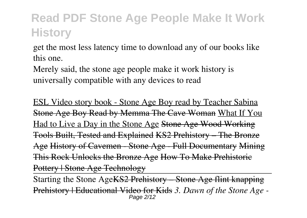get the most less latency time to download any of our books like this one.

Merely said, the stone age people make it work history is universally compatible with any devices to read

ESL Video story book - Stone Age Boy read by Teacher Sabina Stone Age Boy Read by Memma The Cave Woman What If You Had to Live a Day in the Stone Age Stone Age Wood Working Tools Built, Tested and Explained KS2 Prehistory – The Bronze Age History of Cavemen - Stone Age - Full Documentary Mining This Rock Unlocks the Bronze Age How To Make Prehistoric Pottery | Stone Age Technology

Starting the Stone AgeKS2 Prehistory – Stone Age flint knapping Prehistory | Educational Video for Kids *3. Dawn of the Stone Age -* Page 2/12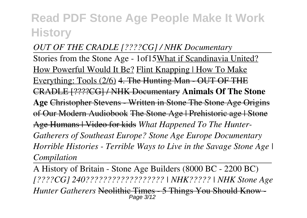### *OUT OF THE CRADLE [????CG] / NHK Documentary* Stories from the Stone Age - 1of15What if Scandinavia United? How Powerful Would It Be? Flint Knapping | How To Make Everything: Tools (2/6) 4. The Hunting Man - OUT OF THE CRADLE [????CG] / NHK Documentary **Animals Of The Stone Age** Christopher Stevens - Written in Stone The Stone Age Origins of Our Modern Audiobook The Stone Age | Prehistoric age | Stone Age Humans | Video for kids *What Happened To The Hunter-Gatherers of Southeast Europe? Stone Age Europe Documentary Horrible Histories - Terrible Ways to Live in the Savage Stone Age | Compilation*

A History of Britain - Stone Age Builders (8000 BC - 2200 BC) *[????CG] 240?????????????????? | NHK????? | NHK Stone Age Hunter Gatherers* Neolithic Times - 5 Things You Should Know - Page 3/12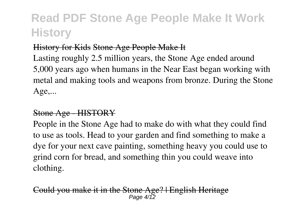#### History for Kids Stone Age People Make It

Lasting roughly 2.5 million years, the Stone Age ended around 5,000 years ago when humans in the Near East began working with metal and making tools and weapons from bronze. During the Stone Age,...

#### Stone Age - HISTORY

People in the Stone Age had to make do with what they could find to use as tools. Head to your garden and find something to make a dye for your next cave painting, something heavy you could use to grind corn for bread, and something thin you could weave into clothing.

Could you make it in the Stone Age? | English Heritage Page  $4/\sqrt{2}$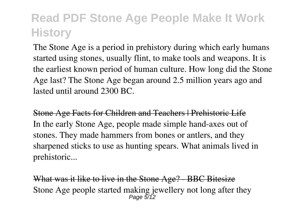The Stone Age is a period in prehistory during which early humans started using stones, usually flint, to make tools and weapons. It is the earliest known period of human culture. How long did the Stone Age last? The Stone Age began around 2.5 million years ago and lasted until around 2300 BC.

Stone Age Facts for Children and Teachers | Prehistoric Life In the early Stone Age, people made simple hand-axes out of stones. They made hammers from bones or antlers, and they sharpened sticks to use as hunting spears. What animals lived in prehistoric...

What was it like to live in the Stone Age? - BBC Bitesize Stone Age people started making jewellery not long after they Page  $5/12$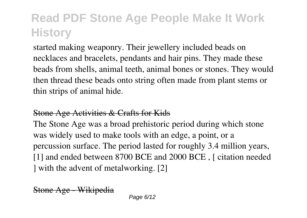started making weaponry. Their jewellery included beads on necklaces and bracelets, pendants and hair pins. They made these beads from shells, animal teeth, animal bones or stones. They would then thread these beads onto string often made from plant stems or thin strips of animal hide.

#### Stone Age Activities & Crafts for Kids

The Stone Age was a broad prehistoric period during which stone was widely used to make tools with an edge, a point, or a percussion surface. The period lasted for roughly 3.4 million years, [1] and ended between 8700 BCE and 2000 BCE, L citation needed ] with the advent of metalworking. [2]

Stone Age - Wikipedia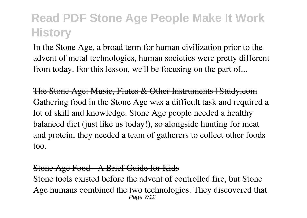In the Stone Age, a broad term for human civilization prior to the advent of metal technologies, human societies were pretty different from today. For this lesson, we'll be focusing on the part of...

The Stone Age: Music, Flutes & Other Instruments | Study.com Gathering food in the Stone Age was a difficult task and required a lot of skill and knowledge. Stone Age people needed a healthy balanced diet (just like us today!), so alongside hunting for meat and protein, they needed a team of gatherers to collect other foods too.

#### Stone Age Food - A Brief Guide for Kids

Stone tools existed before the advent of controlled fire, but Stone Age humans combined the two technologies. They discovered that Page 7/12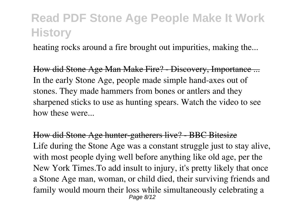heating rocks around a fire brought out impurities, making the...

How did Stone Age Man Make Fire? - Discovery, Importance ... In the early Stone Age, people made simple hand-axes out of stones. They made hammers from bones or antlers and they sharpened sticks to use as hunting spears. Watch the video to see how these were...

How did Stone Age hunter-gatherers live? - BBC Bitesize Life during the Stone Age was a constant struggle just to stay alive, with most people dying well before anything like old age, per the New York Times.To add insult to injury, it's pretty likely that once a Stone Age man, woman, or child died, their surviving friends and family would mourn their loss while simultaneously celebrating a Page 8/12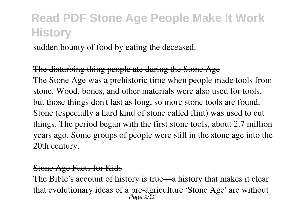sudden bounty of food by eating the deceased.

The disturbing thing people ate during the Stone Age The Stone Age was a prehistoric time when people made tools from stone. Wood, bones, and other materials were also used for tools, but those things don't last as long, so more stone tools are found. Stone (especially a hard kind of stone called flint) was used to cut things. The period began with the first stone tools, about 2.7 million years ago. Some groups of people were still in the stone age into the 20th century.

#### Stone Age Facts for Kids

The Bible's account of history is true—a history that makes it clear that evolutionary ideas of a pre-agriculture 'Stone Age' are without Page 9/12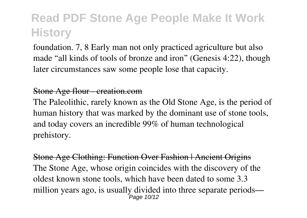foundation. 7, 8 Early man not only practiced agriculture but also made "all kinds of tools of bronze and iron" (Genesis 4:22), though later circumstances saw some people lose that capacity.

#### Stone Age flour - creation.com

The Paleolithic, rarely known as the Old Stone Age, is the period of human history that was marked by the dominant use of stone tools, and today covers an incredible 99% of human technological prehistory.

Stone Age Clothing: Function Over Fashion | Ancient Origins The Stone Age, whose origin coincides with the discovery of the oldest known stone tools, which have been dated to some 3.3 million years ago, is usually divided into three separate periods— Page 10/12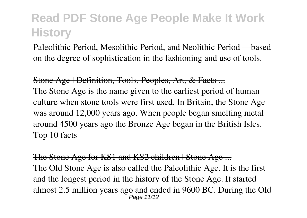Paleolithic Period, Mesolithic Period, and Neolithic Period —based on the degree of sophistication in the fashioning and use of tools.

Stone Age | Definition, Tools, Peoples, Art, & Facts ... The Stone Age is the name given to the earliest period of human culture when stone tools were first used. In Britain, the Stone Age was around 12,000 years ago. When people began smelting metal around 4500 years ago the Bronze Age began in the British Isles. Top 10 facts

The Stone Age for KS1 and KS2 children | Stone Age ... The Old Stone Age is also called the Paleolithic Age. It is the first and the longest period in the history of the Stone Age. It started almost 2.5 million years ago and ended in 9600 BC. During the Old Page 11/12